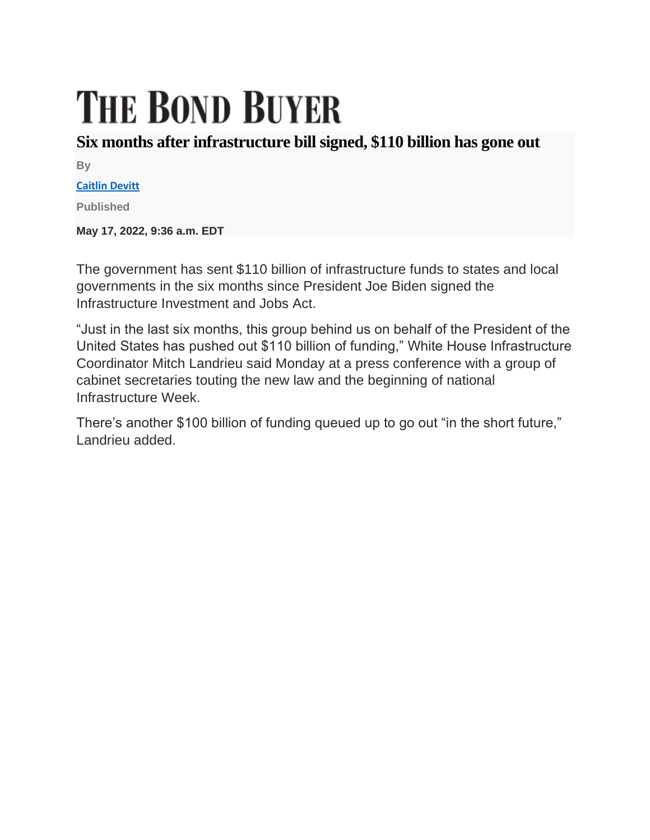## **THE BOND BUYER**

## **Six months after infrastructure bill signed, \$110 billion has gone out**

**By**

## **[Caitlin Devitt](https://www.bondbuyer.com/author/caitlin-devitt)**

**Published**

**May 17, 2022, 9:36 a.m. EDT**

The government has sent \$110 billion of infrastructure funds to states and local governments in the six months since President Joe Biden signed the Infrastructure Investment and Jobs Act.

"Just in the last six months, this group behind us on behalf of the President of the United States has pushed out \$110 billion of funding," White House Infrastructure Coordinator Mitch Landrieu said Monday at a press conference with a group of cabinet secretaries touting the new law and the beginning of national Infrastructure Week.

There's another \$100 billion of funding queued up to go out "in the short future," Landrieu added.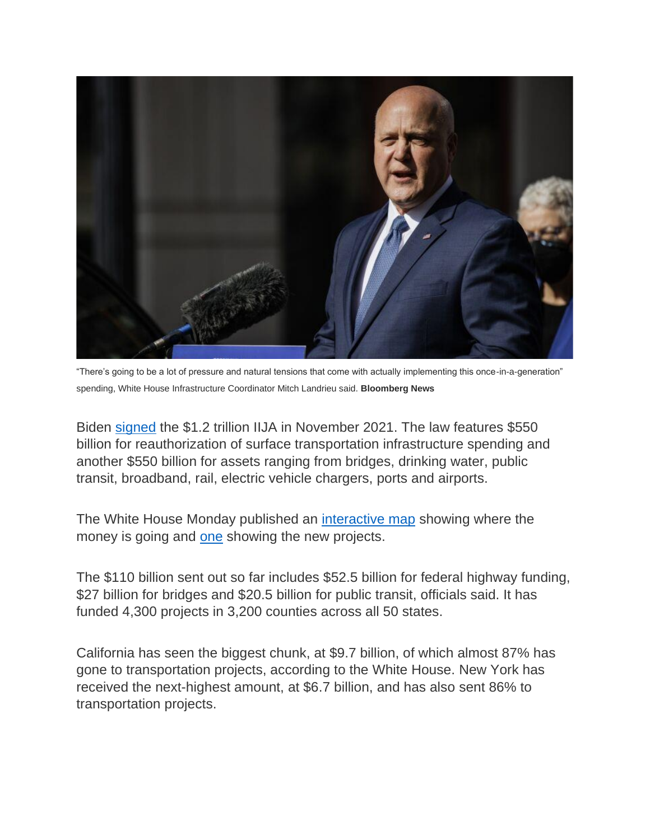

"There's going to be a lot of pressure and natural tensions that come with actually implementing this once-in-a-generation" spending, White House Infrastructure Coordinator Mitch Landrieu said. **Bloomberg News**

Biden [signed](https://www.bondbuyer.com/news/infrastructure-bill-becomes-law) the \$1.2 trillion IIJA in November 2021. The law features \$550 billion for reauthorization of surface transportation infrastructure spending and another \$550 billion for assets ranging from bridges, drinking water, public transit, broadband, rail, electric vehicle chargers, ports and airports.

The White House Monday published an [interactive map](https://d2d.gsa.gov/tableau-report-for-embed/10109) showing where the money is going and [one](https://d2d.gsa.gov/tableau-report-for-embed/10108) showing the new projects.

The \$110 billion sent out so far includes \$52.5 billion for federal highway funding, \$27 billion for bridges and \$20.5 billion for public transit, officials said. It has funded 4,300 projects in 3,200 counties across all 50 states.

California has seen the biggest chunk, at \$9.7 billion, of which almost 87% has gone to transportation projects, according to the White House. New York has received the next-highest amount, at \$6.7 billion, and has also sent 86% to transportation projects.